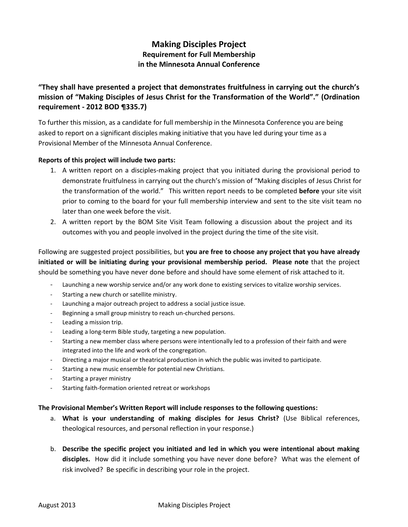## **Making Disciples Project Requirement for Full Membership in the Minnesota Annual Conference**

**"They shall have presented a project that demonstrates fruitfulness in carrying out the church's mission of "Making Disciples of Jesus Christ for the Transformation of the World"." (Ordination requirement - 2012 BOD ¶335.7)** 

To further this mission, as a candidate for full membership in the Minnesota Conference you are being asked to report on a significant disciples making initiative that you have led during your time as a Provisional Member of the Minnesota Annual Conference.

## **Reports of this project will include two parts:**

- 1. A written report on a disciples-making project that you initiated during the provisional period to demonstrate fruitfulness in carrying out the church's mission of "Making disciples of Jesus Christ for the transformation of the world." This written report needs to be completed **before** your site visit prior to coming to the board for your full membership interview and sent to the site visit team no later than one week before the visit.
- 2. A written report by the BOM Site Visit Team following a discussion about the project and its outcomes with you and people involved in the project during the time of the site visit.

Following are suggested project possibilities, but **you are free to choose any project that you have already initiated or will be initiating during your provisional membership period. Please note** that the project should be something you have never done before and should have some element of risk attached to it.

- Launching a new worship service and/or any work done to existing services to vitalize worship services.
- Starting a new church or satellite ministry.
- Launching a major outreach project to address a social justice issue.
- Beginning a small group ministry to reach un-churched persons.
- Leading a mission trip.
- Leading a long-term Bible study, targeting a new population.
- Starting a new member class where persons were intentionally led to a profession of their faith and were integrated into the life and work of the congregation.
- Directing a major musical or theatrical production in which the public was invited to participate.
- Starting a new music ensemble for potential new Christians.
- Starting a prayer ministry
- Starting faith-formation oriented retreat or workshops

## **The Provisional Member's Written Report will include responses to the following questions:**

- a. **What is your understanding of making disciples for Jesus Christ?** (Use Biblical references, theological resources, and personal reflection in your response.)
- b. **Describe the specific project you initiated and led in which you were intentional about making disciples.** How did it include something you have never done before? What was the element of risk involved? Be specific in describing your role in the project.